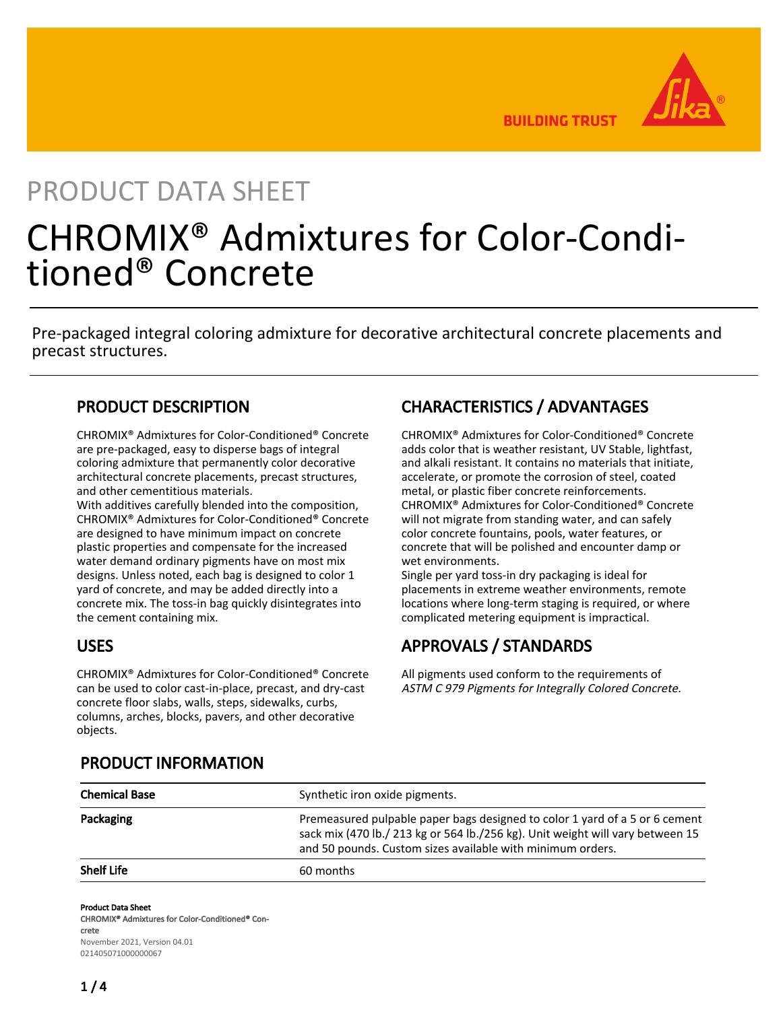**BUILDING TRUST** 

# PRODUCT DATA SHEET

# CHROMIX® Admixtures for Color-Conditioned® Concrete

Pre-packaged integral coloring admixture for decorative architectural concrete placements and precast structures.

## PRODUCT DESCRIPTION

CHROMIX® Admixtures for Color-Conditioned® Concrete are pre-packaged, easy to disperse bags of integral coloring admixture that permanently color decorative architectural concrete placements, precast structures, and other cementitious materials.

With additives carefully blended into the composition, CHROMIX® Admixtures for Color-Conditioned® Concrete are designed to have minimum impact on concrete plastic properties and compensate for the increased water demand ordinary pigments have on most mix designs. Unless noted, each bag is designed to color 1 yard of concrete, and may be added directly into a concrete mix. The toss-in bag quickly disintegrates into the cement containing mix.

## USES

CHROMIX® Admixtures for Color-Conditioned® Concrete can be used to color cast-in-place, precast, and dry-cast concrete floor slabs, walls, steps, sidewalks, curbs, columns, arches, blocks, pavers, and other decorative objects.

# CHARACTERISTICS / ADVANTAGES

CHROMIX® Admixtures for Color-Conditioned® Concrete adds color that is weather resistant, UV Stable, lightfast, and alkali resistant. It contains no materials that initiate, accelerate, or promote the corrosion of steel, coated metal, or plastic fiber concrete reinforcements. CHROMIX® Admixtures for Color-Conditioned® Concrete will not migrate from standing water, and can safely color concrete fountains, pools, water features, or concrete that will be polished and encounter damp or wet environments.

Single per yard toss-in dry packaging is ideal for placements in extreme weather environments, remote locations where long-term staging is required, or where complicated metering equipment is impractical.

# APPROVALS / STANDARDS

All pigments used conform to the requirements of ASTM C 979 Pigments for Integrally Colored Concrete.

| <b>Chemical Base</b> | Synthetic iron oxide pigments.                                                                                                                                                                                              |
|----------------------|-----------------------------------------------------------------------------------------------------------------------------------------------------------------------------------------------------------------------------|
| Packaging            | Premeasured pulpable paper bags designed to color 1 yard of a 5 or 6 cement<br>sack mix (470 lb./ 213 kg or 564 lb./256 kg). Unit weight will vary between 15<br>and 50 pounds. Custom sizes available with minimum orders. |
| <b>Shelf Life</b>    | 60 months                                                                                                                                                                                                                   |

## PRODUCT INFORMATION

Product Data Sheet

CHROMIX® Admixtures for Color-Conditioned® Concrete November 2021, Version 04.01 021405071000000067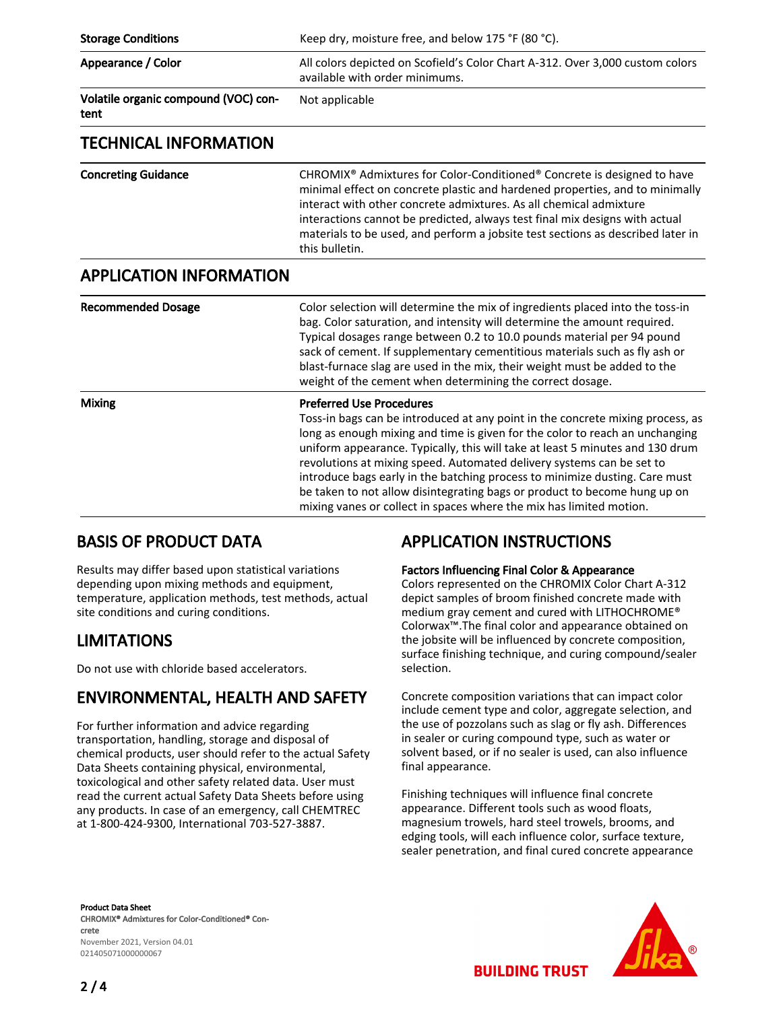| <b>Storage Conditions</b>                    | Keep dry, moisture free, and below 175 °F (80 °C).                                                                                                                                                                                                                                                                                                                                                                                                                                                                                                                                             |
|----------------------------------------------|------------------------------------------------------------------------------------------------------------------------------------------------------------------------------------------------------------------------------------------------------------------------------------------------------------------------------------------------------------------------------------------------------------------------------------------------------------------------------------------------------------------------------------------------------------------------------------------------|
| Appearance / Color                           | All colors depicted on Scofield's Color Chart A-312. Over 3,000 custom colors<br>available with order minimums.                                                                                                                                                                                                                                                                                                                                                                                                                                                                                |
| Volatile organic compound (VOC) con-<br>tent | Not applicable                                                                                                                                                                                                                                                                                                                                                                                                                                                                                                                                                                                 |
| <b>TECHNICAL INFORMATION</b>                 |                                                                                                                                                                                                                                                                                                                                                                                                                                                                                                                                                                                                |
| <b>Concreting Guidance</b>                   | CHROMIX <sup>®</sup> Admixtures for Color-Conditioned <sup>®</sup> Concrete is designed to have<br>minimal effect on concrete plastic and hardened properties, and to minimally<br>interact with other concrete admixtures. As all chemical admixture<br>interactions cannot be predicted, always test final mix designs with actual<br>materials to be used, and perform a jobsite test sections as described later in<br>this bulletin.                                                                                                                                                      |
| <b>APPLICATION INFORMATION</b>               |                                                                                                                                                                                                                                                                                                                                                                                                                                                                                                                                                                                                |
| <b>Recommended Dosage</b>                    | Color selection will determine the mix of ingredients placed into the toss-in<br>bag. Color saturation, and intensity will determine the amount required.<br>Typical dosages range between 0.2 to 10.0 pounds material per 94 pound<br>sack of cement. If supplementary cementitious materials such as fly ash or<br>blast-furnace slag are used in the mix, their weight must be added to the<br>weight of the cement when determining the correct dosage.                                                                                                                                    |
| <b>Mixing</b>                                | <b>Preferred Use Procedures</b><br>Toss-in bags can be introduced at any point in the concrete mixing process, as<br>long as enough mixing and time is given for the color to reach an unchanging<br>uniform appearance. Typically, this will take at least 5 minutes and 130 drum<br>revolutions at mixing speed. Automated delivery systems can be set to<br>introduce bags early in the batching process to minimize dusting. Care must<br>be taken to not allow disintegrating bags or product to become hung up on<br>mixing vanes or collect in spaces where the mix has limited motion. |

## BASIS OF PRODUCT DATA

Results may differ based upon statistical variations depending upon mixing methods and equipment, temperature, application methods, test methods, actual site conditions and curing conditions.

## LIMITATIONS

Do not use with chloride based accelerators.

## ENVIRONMENTAL, HEALTH AND SAFETY

For further information and advice regarding transportation, handling, storage and disposal of chemical products, user should refer to the actual Safety Data Sheets containing physical, environmental, toxicological and other safety related data. User must read the current actual Safety Data Sheets before using any products. In case of an emergency, call CHEMTREC at 1-800-424-9300, International 703-527-3887.

# APPLICATION INSTRUCTIONS

## Factors Influencing Final Color & Appearance

Colors represented on the CHROMIX Color Chart A-312 depict samples of broom finished concrete made with medium gray cement and cured with LITHOCHROME® Colorwax™.The final color and appearance obtained on the jobsite will be influenced by concrete composition, surface finishing technique, and curing compound/sealer selection.

Concrete composition variations that can impact color include cement type and color, aggregate selection, and the use of pozzolans such as slag or fly ash. Differences in sealer or curing compound type, such as water or solvent based, or if no sealer is used, can also influence final appearance.

Finishing techniques will influence final concrete appearance. Different tools such as wood floats, magnesium trowels, hard steel trowels, brooms, and edging tools, will each influence color, surface texture, sealer penetration, and final cured concrete appearance

**BUILDING TRUST** 

Product Data Sheet CHROMIX® Admixtures for Color-Conditioned® Concrete November 2021, Version 04.01 021405071000000067



 $2/4$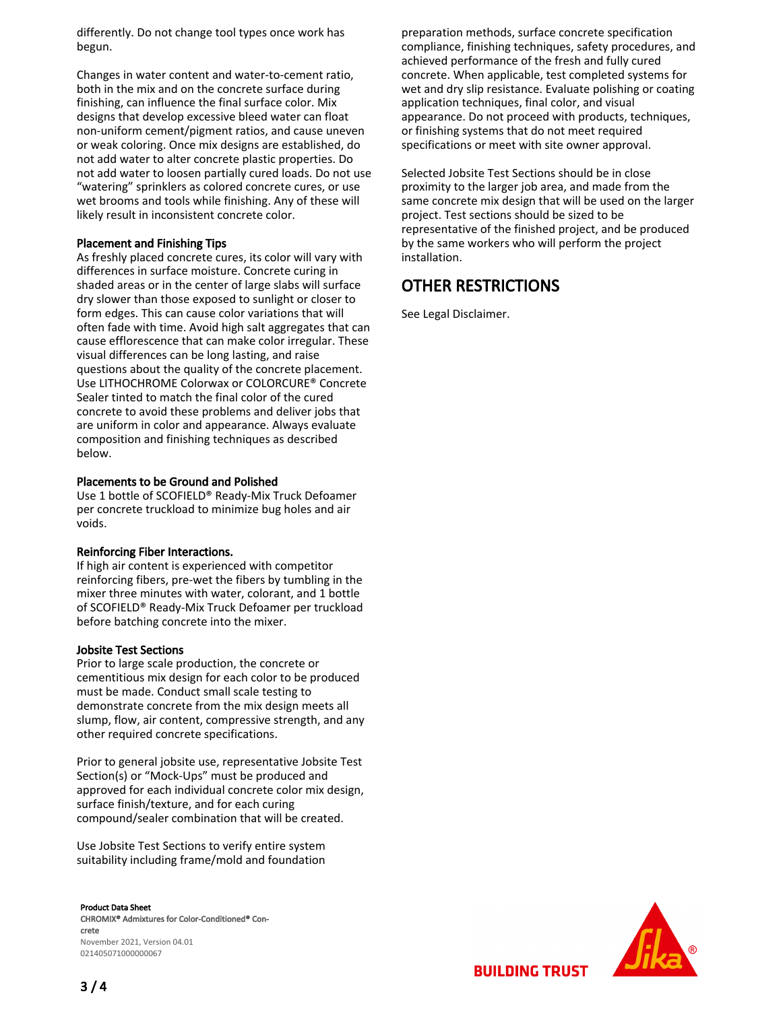differently. Do not change tool types once work has begun.

Changes in water content and water-to-cement ratio, both in the mix and on the concrete surface during finishing, can influence the final surface color. Mix designs that develop excessive bleed water can float non-uniform cement/pigment ratios, and cause uneven or weak coloring. Once mix designs are established, do not add water to alter concrete plastic properties. Do not add water to loosen partially cured loads. Do not use "watering" sprinklers as colored concrete cures, or use wet brooms and tools while finishing. Any of these will likely result in inconsistent concrete color.

## Placement and Finishing Tips

As freshly placed concrete cures, its color will vary with differences in surface moisture. Concrete curing in shaded areas or in the center of large slabs will surface dry slower than those exposed to sunlight or closer to form edges. This can cause color variations that will often fade with time. Avoid high salt aggregates that can cause efflorescence that can make color irregular. These visual differences can be long lasting, and raise questions about the quality of the concrete placement. Use LITHOCHROME Colorwax or COLORCURE® Concrete Sealer tinted to match the final color of the cured concrete to avoid these problems and deliver jobs that are uniform in color and appearance. Always evaluate composition and finishing techniques as described below.

### Placements to be Ground and Polished

Use 1 bottle of SCOFIELD® Ready-Mix Truck Defoamer per concrete truckload to minimize bug holes and air voids.

### Reinforcing Fiber Interactions.

If high air content is experienced with competitor reinforcing fibers, pre-wet the fibers by tumbling in the mixer three minutes with water, colorant, and 1 bottle of SCOFIELD® Ready-Mix Truck Defoamer per truckload before batching concrete into the mixer.

### Jobsite Test Sections

Prior to large scale production, the concrete or cementitious mix design for each color to be produced must be made. Conduct small scale testing to demonstrate concrete from the mix design meets all slump, flow, air content, compressive strength, and any other required concrete specifications.

Prior to general jobsite use, representative Jobsite Test Section(s) or "Mock-Ups" must be produced and approved for each individual concrete color mix design, surface finish/texture, and for each curing compound/sealer combination that will be created.

Use Jobsite Test Sections to verify entire system suitability including frame/mold and foundation

Product Data Sheet CHROMIX® Admixtures for Color-Conditioned® Concrete November 2021, Version 04.01

021405071000000067

 $3/4$ 

preparation methods, surface concrete specification compliance, finishing techniques, safety procedures, and achieved performance of the fresh and fully cured concrete. When applicable, test completed systems for wet and dry slip resistance. Evaluate polishing or coating application techniques, final color, and visual appearance. Do not proceed with products, techniques, or finishing systems that do not meet required specifications or meet with site owner approval.

Selected Jobsite Test Sections should be in close proximity to the larger job area, and made from the same concrete mix design that will be used on the larger project. Test sections should be sized to be representative of the finished project, and be produced by the same workers who will perform the project installation.

# OTHER RESTRICTIONS

See Legal Disclaimer.